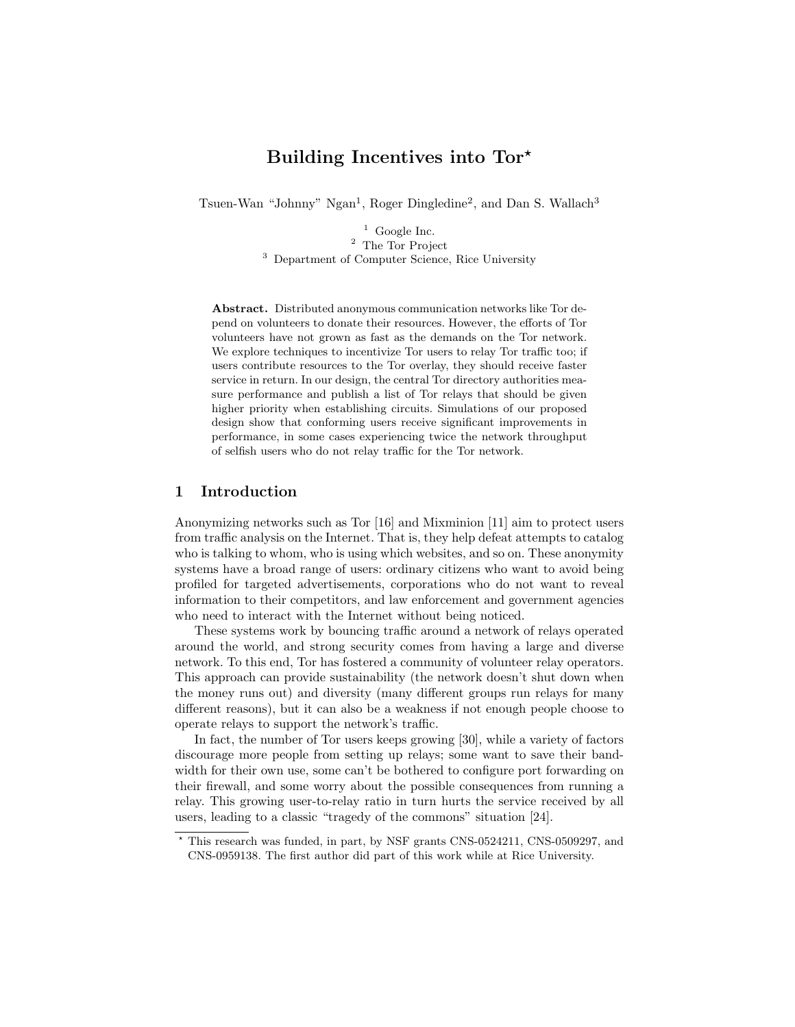# Building Incentives into Tor<sup>\*</sup>

Tsuen-Wan "Johnny" Ngan<sup>1</sup>, Roger Dingledine<sup>2</sup>, and Dan S. Wallach<sup>3</sup>

 $1$  Google Inc. <sup>2</sup> The Tor Project <sup>3</sup> Department of Computer Science, Rice University

Abstract. Distributed anonymous communication networks like Tor depend on volunteers to donate their resources. However, the efforts of Tor volunteers have not grown as fast as the demands on the Tor network. We explore techniques to incentivize Tor users to relay Tor traffic too; if users contribute resources to the Tor overlay, they should receive faster service in return. In our design, the central Tor directory authorities measure performance and publish a list of Tor relays that should be given higher priority when establishing circuits. Simulations of our proposed design show that conforming users receive significant improvements in performance, in some cases experiencing twice the network throughput of selfish users who do not relay traffic for the Tor network.

# 1 Introduction

Anonymizing networks such as Tor [16] and Mixminion [11] aim to protect users from traffic analysis on the Internet. That is, they help defeat attempts to catalog who is talking to whom, who is using which websites, and so on. These anonymity systems have a broad range of users: ordinary citizens who want to avoid being profiled for targeted advertisements, corporations who do not want to reveal information to their competitors, and law enforcement and government agencies who need to interact with the Internet without being noticed.

These systems work by bouncing traffic around a network of relays operated around the world, and strong security comes from having a large and diverse network. To this end, Tor has fostered a community of volunteer relay operators. This approach can provide sustainability (the network doesn't shut down when the money runs out) and diversity (many different groups run relays for many different reasons), but it can also be a weakness if not enough people choose to operate relays to support the network's traffic.

In fact, the number of Tor users keeps growing [30], while a variety of factors discourage more people from setting up relays; some want to save their bandwidth for their own use, some can't be bothered to configure port forwarding on their firewall, and some worry about the possible consequences from running a relay. This growing user-to-relay ratio in turn hurts the service received by all users, leading to a classic "tragedy of the commons" situation [24].

<sup>⋆</sup> This research was funded, in part, by NSF grants CNS-0524211, CNS-0509297, and CNS-0959138. The first author did part of this work while at Rice University.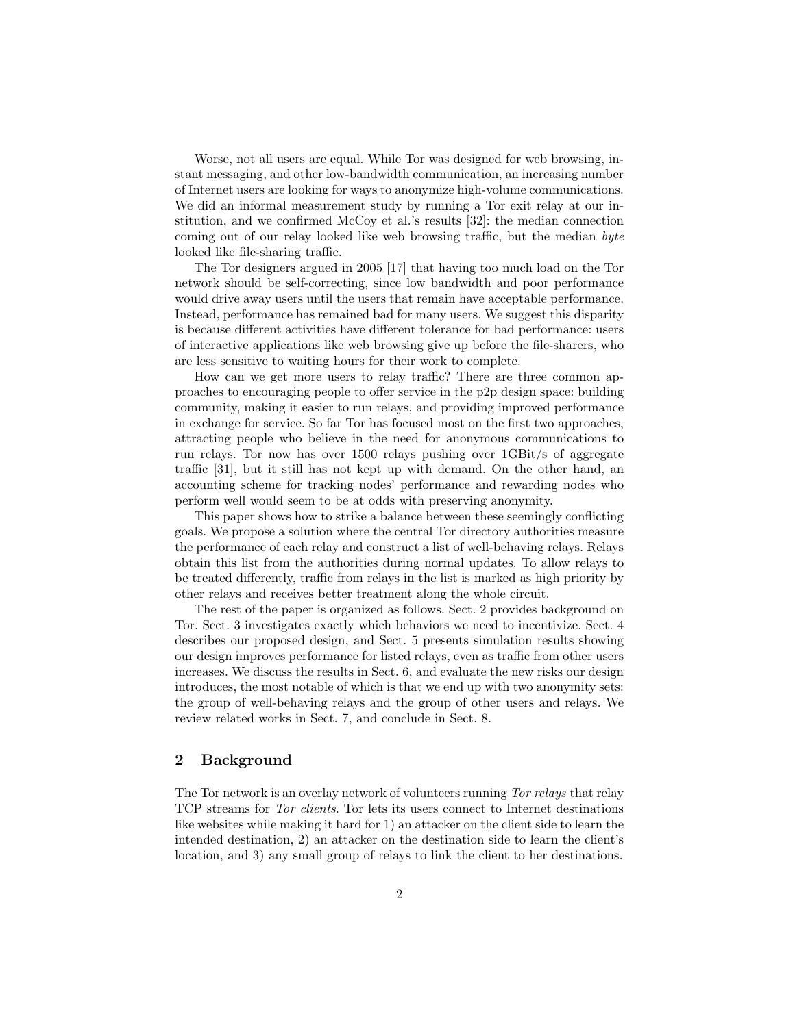Worse, not all users are equal. While Tor was designed for web browsing, instant messaging, and other low-bandwidth communication, an increasing number of Internet users are looking for ways to anonymize high-volume communications. We did an informal measurement study by running a Tor exit relay at our institution, and we confirmed McCoy et al.'s results [32]: the median connection coming out of our relay looked like web browsing traffic, but the median byte looked like file-sharing traffic.

The Tor designers argued in 2005 [17] that having too much load on the Tor network should be self-correcting, since low bandwidth and poor performance would drive away users until the users that remain have acceptable performance. Instead, performance has remained bad for many users. We suggest this disparity is because different activities have different tolerance for bad performance: users of interactive applications like web browsing give up before the file-sharers, who are less sensitive to waiting hours for their work to complete.

How can we get more users to relay traffic? There are three common approaches to encouraging people to offer service in the p2p design space: building community, making it easier to run relays, and providing improved performance in exchange for service. So far Tor has focused most on the first two approaches, attracting people who believe in the need for anonymous communications to run relays. Tor now has over 1500 relays pushing over 1GBit/s of aggregate traffic [31], but it still has not kept up with demand. On the other hand, an accounting scheme for tracking nodes' performance and rewarding nodes who perform well would seem to be at odds with preserving anonymity.

This paper shows how to strike a balance between these seemingly conflicting goals. We propose a solution where the central Tor directory authorities measure the performance of each relay and construct a list of well-behaving relays. Relays obtain this list from the authorities during normal updates. To allow relays to be treated differently, traffic from relays in the list is marked as high priority by other relays and receives better treatment along the whole circuit.

The rest of the paper is organized as follows. Sect. 2 provides background on Tor. Sect. 3 investigates exactly which behaviors we need to incentivize. Sect. 4 describes our proposed design, and Sect. 5 presents simulation results showing our design improves performance for listed relays, even as traffic from other users increases. We discuss the results in Sect. 6, and evaluate the new risks our design introduces, the most notable of which is that we end up with two anonymity sets: the group of well-behaving relays and the group of other users and relays. We review related works in Sect. 7, and conclude in Sect. 8.

# 2 Background

The Tor network is an overlay network of volunteers running Tor relays that relay TCP streams for Tor clients. Tor lets its users connect to Internet destinations like websites while making it hard for 1) an attacker on the client side to learn the intended destination, 2) an attacker on the destination side to learn the client's location, and 3) any small group of relays to link the client to her destinations.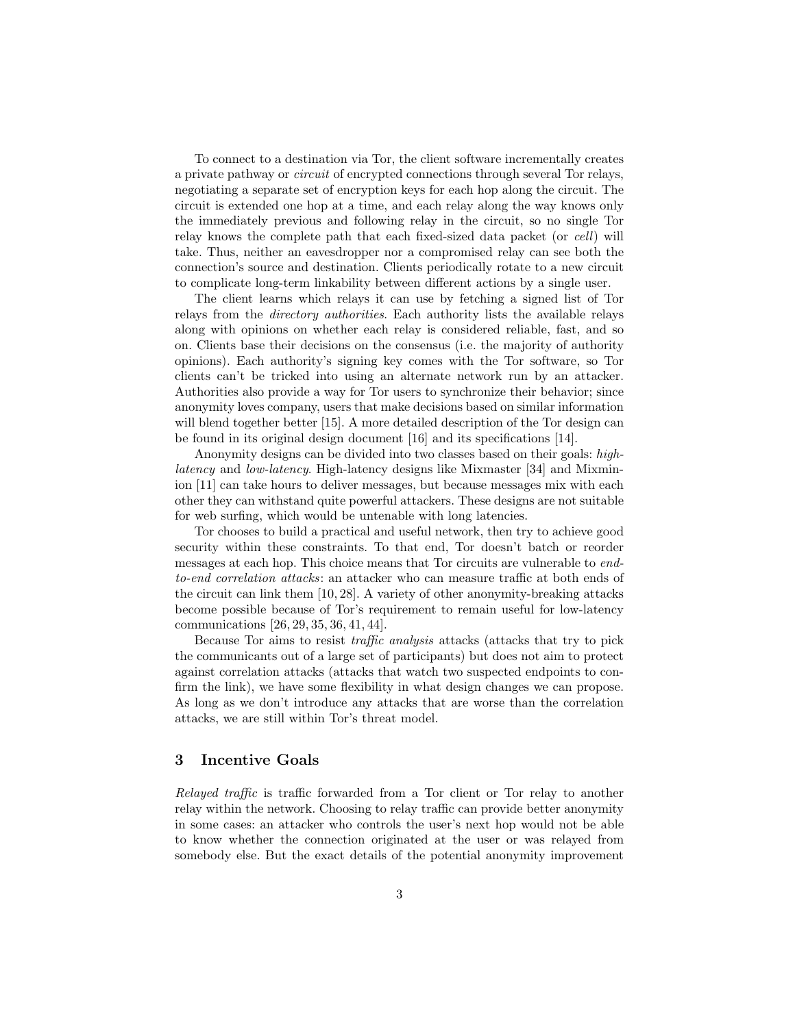To connect to a destination via Tor, the client software incrementally creates a private pathway or circuit of encrypted connections through several Tor relays, negotiating a separate set of encryption keys for each hop along the circuit. The circuit is extended one hop at a time, and each relay along the way knows only the immediately previous and following relay in the circuit, so no single Tor relay knows the complete path that each fixed-sized data packet (or cell) will take. Thus, neither an eavesdropper nor a compromised relay can see both the connection's source and destination. Clients periodically rotate to a new circuit to complicate long-term linkability between different actions by a single user.

The client learns which relays it can use by fetching a signed list of Tor relays from the *directory authorities*. Each authority lists the available relays along with opinions on whether each relay is considered reliable, fast, and so on. Clients base their decisions on the consensus (i.e. the majority of authority opinions). Each authority's signing key comes with the Tor software, so Tor clients can't be tricked into using an alternate network run by an attacker. Authorities also provide a way for Tor users to synchronize their behavior; since anonymity loves company, users that make decisions based on similar information will blend together better [15]. A more detailed description of the Tor design can be found in its original design document [16] and its specifications [14].

Anonymity designs can be divided into two classes based on their goals: highlatency and low-latency. High-latency designs like Mixmaster [34] and Mixminion [11] can take hours to deliver messages, but because messages mix with each other they can withstand quite powerful attackers. These designs are not suitable for web surfing, which would be untenable with long latencies.

Tor chooses to build a practical and useful network, then try to achieve good security within these constraints. To that end, Tor doesn't batch or reorder messages at each hop. This choice means that Tor circuits are vulnerable to endto-end correlation attacks: an attacker who can measure traffic at both ends of the circuit can link them [10, 28]. A variety of other anonymity-breaking attacks become possible because of Tor's requirement to remain useful for low-latency communications [26, 29, 35, 36, 41, 44].

Because Tor aims to resist traffic analysis attacks (attacks that try to pick the communicants out of a large set of participants) but does not aim to protect against correlation attacks (attacks that watch two suspected endpoints to confirm the link), we have some flexibility in what design changes we can propose. As long as we don't introduce any attacks that are worse than the correlation attacks, we are still within Tor's threat model.

# 3 Incentive Goals

Relayed traffic is traffic forwarded from a Tor client or Tor relay to another relay within the network. Choosing to relay traffic can provide better anonymity in some cases: an attacker who controls the user's next hop would not be able to know whether the connection originated at the user or was relayed from somebody else. But the exact details of the potential anonymity improvement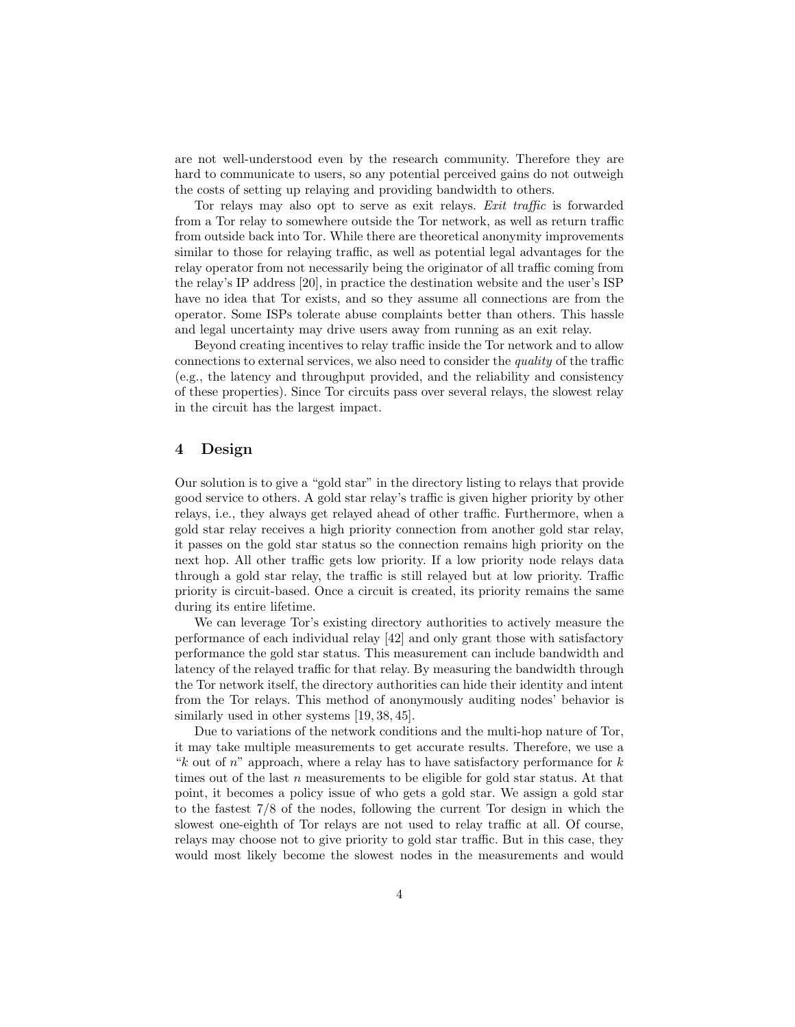are not well-understood even by the research community. Therefore they are hard to communicate to users, so any potential perceived gains do not outweigh the costs of setting up relaying and providing bandwidth to others.

Tor relays may also opt to serve as exit relays. Exit traffic is forwarded from a Tor relay to somewhere outside the Tor network, as well as return traffic from outside back into Tor. While there are theoretical anonymity improvements similar to those for relaying traffic, as well as potential legal advantages for the relay operator from not necessarily being the originator of all traffic coming from the relay's IP address [20], in practice the destination website and the user's ISP have no idea that Tor exists, and so they assume all connections are from the operator. Some ISPs tolerate abuse complaints better than others. This hassle and legal uncertainty may drive users away from running as an exit relay.

Beyond creating incentives to relay traffic inside the Tor network and to allow connections to external services, we also need to consider the quality of the traffic (e.g., the latency and throughput provided, and the reliability and consistency of these properties). Since Tor circuits pass over several relays, the slowest relay in the circuit has the largest impact.

# 4 Design

Our solution is to give a "gold star" in the directory listing to relays that provide good service to others. A gold star relay's traffic is given higher priority by other relays, i.e., they always get relayed ahead of other traffic. Furthermore, when a gold star relay receives a high priority connection from another gold star relay, it passes on the gold star status so the connection remains high priority on the next hop. All other traffic gets low priority. If a low priority node relays data through a gold star relay, the traffic is still relayed but at low priority. Traffic priority is circuit-based. Once a circuit is created, its priority remains the same during its entire lifetime.

We can leverage Tor's existing directory authorities to actively measure the performance of each individual relay [42] and only grant those with satisfactory performance the gold star status. This measurement can include bandwidth and latency of the relayed traffic for that relay. By measuring the bandwidth through the Tor network itself, the directory authorities can hide their identity and intent from the Tor relays. This method of anonymously auditing nodes' behavior is similarly used in other systems [19, 38, 45].

Due to variations of the network conditions and the multi-hop nature of Tor, it may take multiple measurements to get accurate results. Therefore, we use a "k out of n" approach, where a relay has to have satisfactory performance for  $k$ times out of the last  $n$  measurements to be eligible for gold star status. At that point, it becomes a policy issue of who gets a gold star. We assign a gold star to the fastest 7/8 of the nodes, following the current Tor design in which the slowest one-eighth of Tor relays are not used to relay traffic at all. Of course, relays may choose not to give priority to gold star traffic. But in this case, they would most likely become the slowest nodes in the measurements and would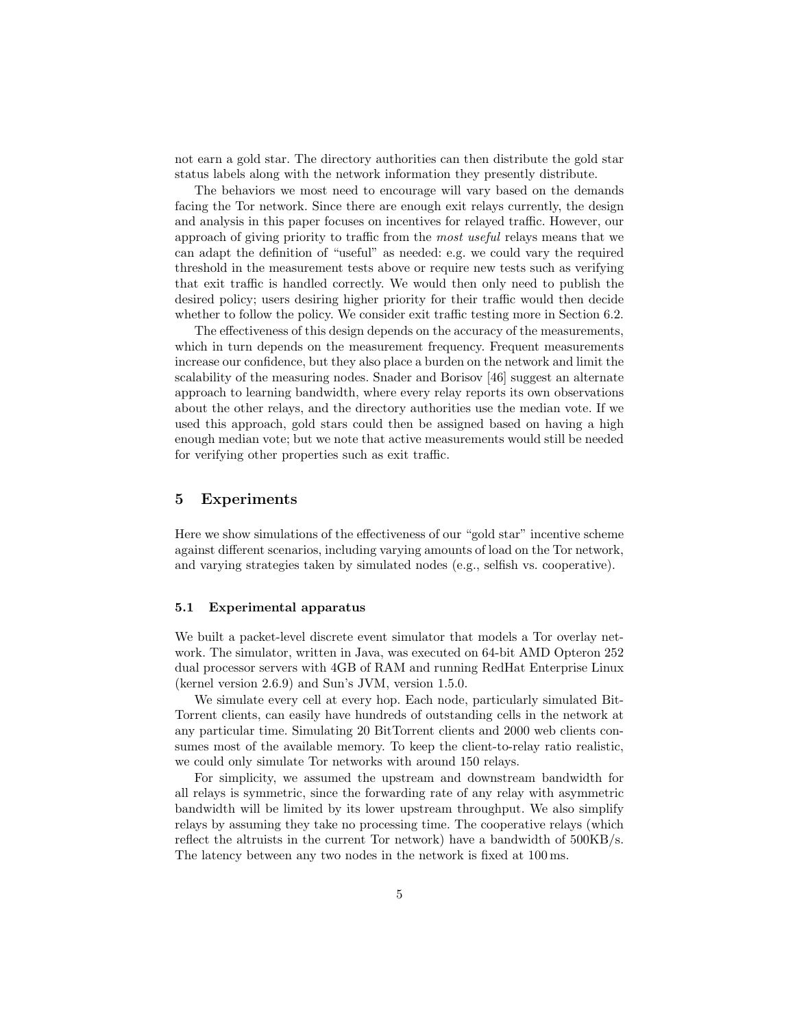not earn a gold star. The directory authorities can then distribute the gold star status labels along with the network information they presently distribute.

The behaviors we most need to encourage will vary based on the demands facing the Tor network. Since there are enough exit relays currently, the design and analysis in this paper focuses on incentives for relayed traffic. However, our approach of giving priority to traffic from the most useful relays means that we can adapt the definition of "useful" as needed: e.g. we could vary the required threshold in the measurement tests above or require new tests such as verifying that exit traffic is handled correctly. We would then only need to publish the desired policy; users desiring higher priority for their traffic would then decide whether to follow the policy. We consider exit traffic testing more in Section 6.2.

The effectiveness of this design depends on the accuracy of the measurements, which in turn depends on the measurement frequency. Frequent measurements increase our confidence, but they also place a burden on the network and limit the scalability of the measuring nodes. Snader and Borisov [46] suggest an alternate approach to learning bandwidth, where every relay reports its own observations about the other relays, and the directory authorities use the median vote. If we used this approach, gold stars could then be assigned based on having a high enough median vote; but we note that active measurements would still be needed for verifying other properties such as exit traffic.

### 5 Experiments

Here we show simulations of the effectiveness of our "gold star" incentive scheme against different scenarios, including varying amounts of load on the Tor network, and varying strategies taken by simulated nodes (e.g., selfish vs. cooperative).

#### 5.1 Experimental apparatus

We built a packet-level discrete event simulator that models a Tor overlay network. The simulator, written in Java, was executed on 64-bit AMD Opteron 252 dual processor servers with 4GB of RAM and running RedHat Enterprise Linux (kernel version 2.6.9) and Sun's JVM, version 1.5.0.

We simulate every cell at every hop. Each node, particularly simulated Bit-Torrent clients, can easily have hundreds of outstanding cells in the network at any particular time. Simulating 20 BitTorrent clients and 2000 web clients consumes most of the available memory. To keep the client-to-relay ratio realistic, we could only simulate Tor networks with around 150 relays.

For simplicity, we assumed the upstream and downstream bandwidth for all relays is symmetric, since the forwarding rate of any relay with asymmetric bandwidth will be limited by its lower upstream throughput. We also simplify relays by assuming they take no processing time. The cooperative relays (which reflect the altruists in the current Tor network) have a bandwidth of 500KB/s. The latency between any two nodes in the network is fixed at 100 ms.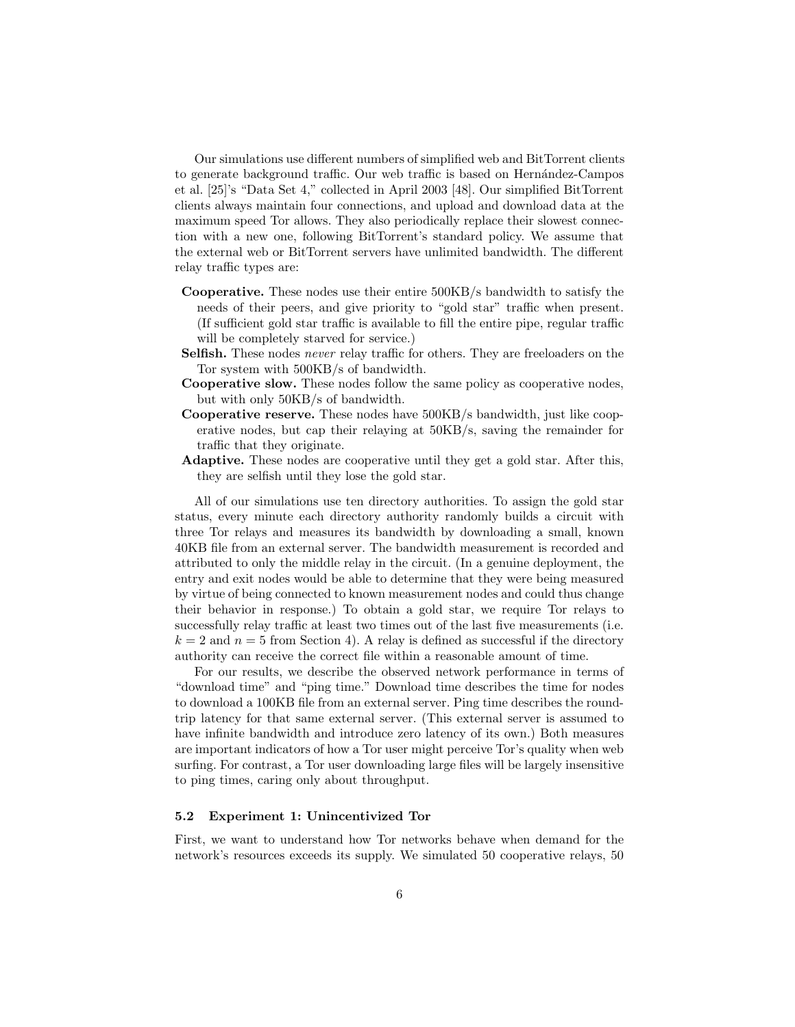Our simulations use different numbers of simplified web and BitTorrent clients to generate background traffic. Our web traffic is based on Hernández-Campos et al. [25]'s "Data Set 4," collected in April 2003 [48]. Our simplified BitTorrent clients always maintain four connections, and upload and download data at the maximum speed Tor allows. They also periodically replace their slowest connection with a new one, following BitTorrent's standard policy. We assume that the external web or BitTorrent servers have unlimited bandwidth. The different relay traffic types are:

- Cooperative. These nodes use their entire 500KB/s bandwidth to satisfy the needs of their peers, and give priority to "gold star" traffic when present. (If sufficient gold star traffic is available to fill the entire pipe, regular traffic will be completely starved for service.)
- Selfish. These nodes *never* relay traffic for others. They are freeloaders on the Tor system with 500KB/s of bandwidth.
- Cooperative slow. These nodes follow the same policy as cooperative nodes, but with only 50KB/s of bandwidth.
- Cooperative reserve. These nodes have 500KB/s bandwidth, just like cooperative nodes, but cap their relaying at 50KB/s, saving the remainder for traffic that they originate.
- Adaptive. These nodes are cooperative until they get a gold star. After this, they are selfish until they lose the gold star.

All of our simulations use ten directory authorities. To assign the gold star status, every minute each directory authority randomly builds a circuit with three Tor relays and measures its bandwidth by downloading a small, known 40KB file from an external server. The bandwidth measurement is recorded and attributed to only the middle relay in the circuit. (In a genuine deployment, the entry and exit nodes would be able to determine that they were being measured by virtue of being connected to known measurement nodes and could thus change their behavior in response.) To obtain a gold star, we require Tor relays to successfully relay traffic at least two times out of the last five measurements (i.e.  $k = 2$  and  $n = 5$  from Section 4). A relay is defined as successful if the directory authority can receive the correct file within a reasonable amount of time.

For our results, we describe the observed network performance in terms of "download time" and "ping time." Download time describes the time for nodes to download a 100KB file from an external server. Ping time describes the roundtrip latency for that same external server. (This external server is assumed to have infinite bandwidth and introduce zero latency of its own.) Both measures are important indicators of how a Tor user might perceive Tor's quality when web surfing. For contrast, a Tor user downloading large files will be largely insensitive to ping times, caring only about throughput.

#### 5.2 Experiment 1: Unincentivized Tor

First, we want to understand how Tor networks behave when demand for the network's resources exceeds its supply. We simulated 50 cooperative relays, 50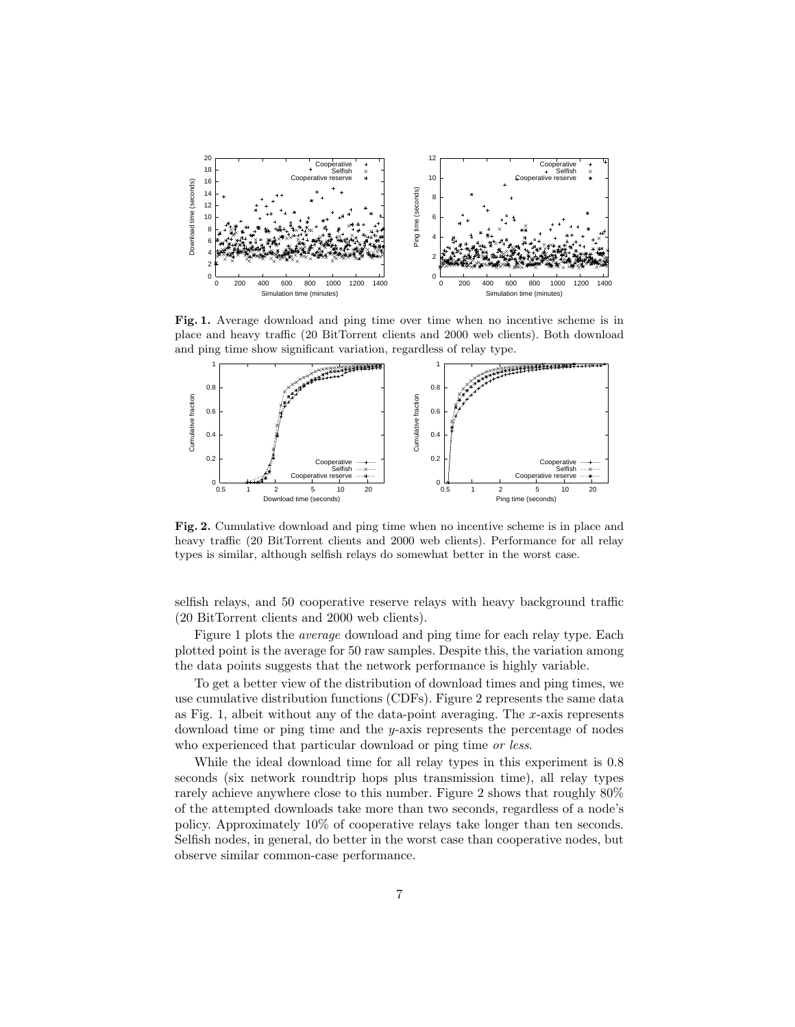

Fig. 1. Average download and ping time over time when no incentive scheme is in place and heavy traffic (20 BitTorrent clients and 2000 web clients). Both download and ping time show significant variation, regardless of relay type.



Fig. 2. Cumulative download and ping time when no incentive scheme is in place and heavy traffic (20 BitTorrent clients and 2000 web clients). Performance for all relay types is similar, although selfish relays do somewhat better in the worst case.

selfish relays, and 50 cooperative reserve relays with heavy background traffic (20 BitTorrent clients and 2000 web clients).

Figure 1 plots the average download and ping time for each relay type. Each plotted point is the average for 50 raw samples. Despite this, the variation among the data points suggests that the network performance is highly variable.

To get a better view of the distribution of download times and ping times, we use cumulative distribution functions (CDFs). Figure 2 represents the same data as Fig. 1, albeit without any of the data-point averaging. The  $x$ -axis represents download time or ping time and the y-axis represents the percentage of nodes who experienced that particular download or ping time *or less*.

While the ideal download time for all relay types in this experiment is 0.8 seconds (six network roundtrip hops plus transmission time), all relay types rarely achieve anywhere close to this number. Figure 2 shows that roughly 80% of the attempted downloads take more than two seconds, regardless of a node's policy. Approximately 10% of cooperative relays take longer than ten seconds. Selfish nodes, in general, do better in the worst case than cooperative nodes, but observe similar common-case performance.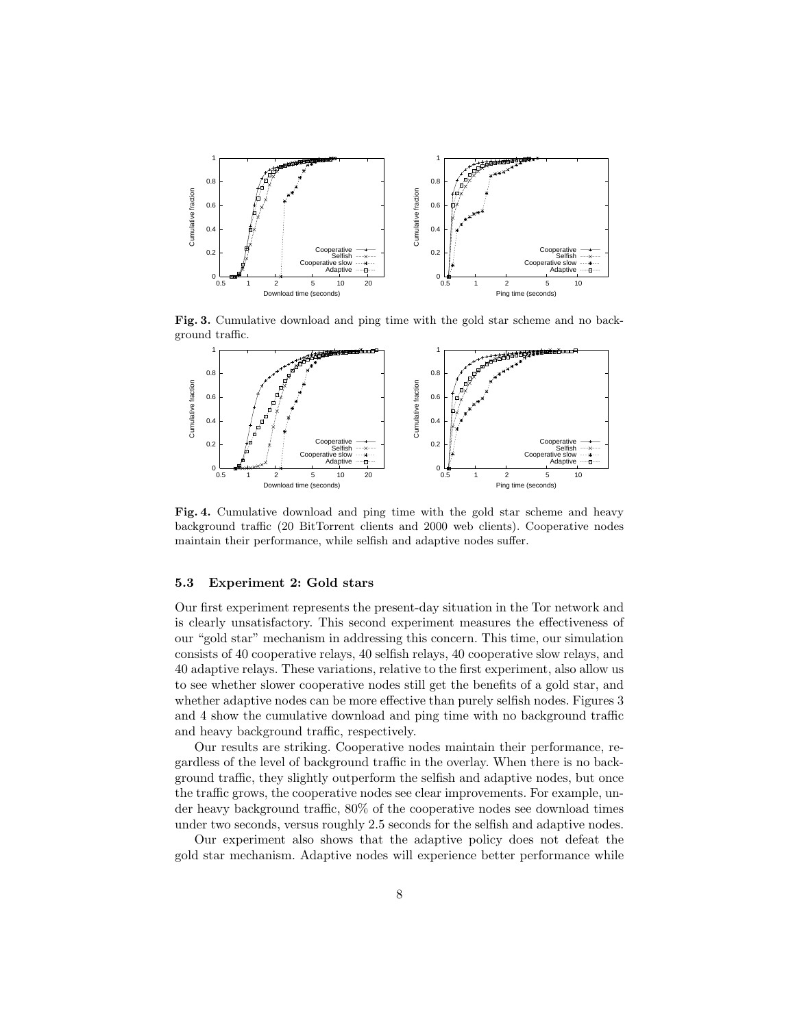

Fig. 3. Cumulative download and ping time with the gold star scheme and no background traffic.



Fig. 4. Cumulative download and ping time with the gold star scheme and heavy background traffic (20 BitTorrent clients and 2000 web clients). Cooperative nodes maintain their performance, while selfish and adaptive nodes suffer.

#### 5.3 Experiment 2: Gold stars

Our first experiment represents the present-day situation in the Tor network and is clearly unsatisfactory. This second experiment measures the effectiveness of our "gold star" mechanism in addressing this concern. This time, our simulation consists of 40 cooperative relays, 40 selfish relays, 40 cooperative slow relays, and 40 adaptive relays. These variations, relative to the first experiment, also allow us to see whether slower cooperative nodes still get the benefits of a gold star, and whether adaptive nodes can be more effective than purely selfish nodes. Figures 3 and 4 show the cumulative download and ping time with no background traffic and heavy background traffic, respectively.

Our results are striking. Cooperative nodes maintain their performance, regardless of the level of background traffic in the overlay. When there is no background traffic, they slightly outperform the selfish and adaptive nodes, but once the traffic grows, the cooperative nodes see clear improvements. For example, under heavy background traffic, 80% of the cooperative nodes see download times under two seconds, versus roughly 2.5 seconds for the selfish and adaptive nodes.

Our experiment also shows that the adaptive policy does not defeat the gold star mechanism. Adaptive nodes will experience better performance while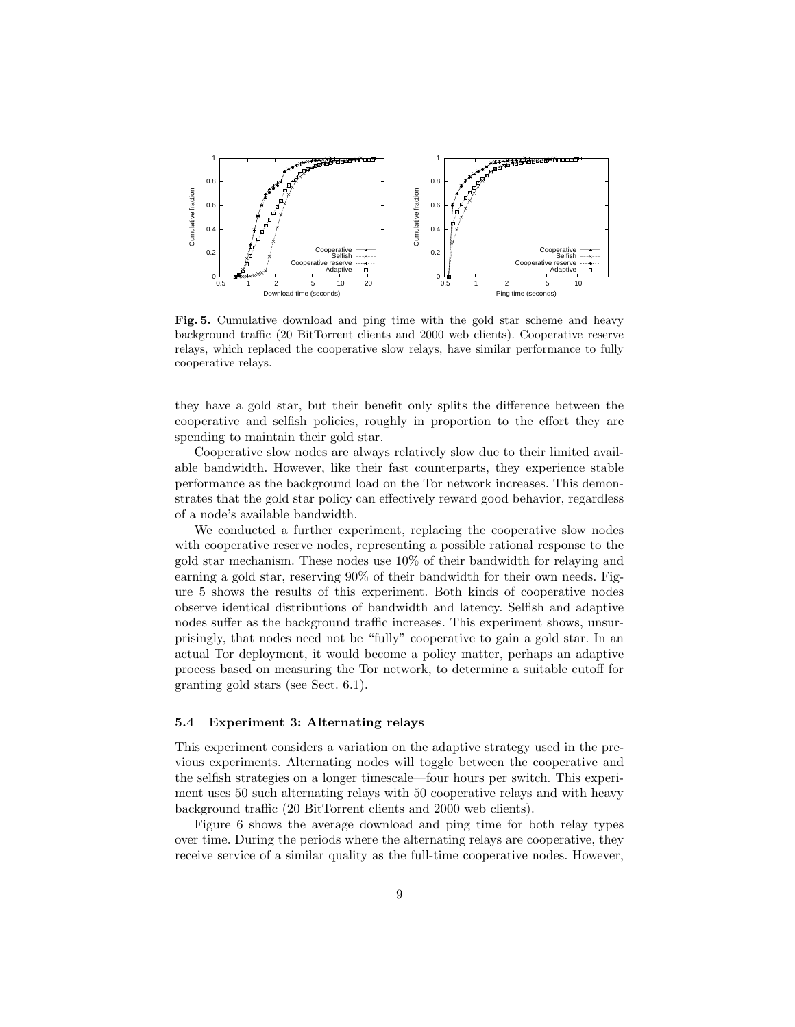

Fig. 5. Cumulative download and ping time with the gold star scheme and heavy background traffic (20 BitTorrent clients and 2000 web clients). Cooperative reserve relays, which replaced the cooperative slow relays, have similar performance to fully cooperative relays.

they have a gold star, but their benefit only splits the difference between the cooperative and selfish policies, roughly in proportion to the effort they are spending to maintain their gold star.

Cooperative slow nodes are always relatively slow due to their limited available bandwidth. However, like their fast counterparts, they experience stable performance as the background load on the Tor network increases. This demonstrates that the gold star policy can effectively reward good behavior, regardless of a node's available bandwidth.

We conducted a further experiment, replacing the cooperative slow nodes with cooperative reserve nodes, representing a possible rational response to the gold star mechanism. These nodes use 10% of their bandwidth for relaying and earning a gold star, reserving 90% of their bandwidth for their own needs. Figure 5 shows the results of this experiment. Both kinds of cooperative nodes observe identical distributions of bandwidth and latency. Selfish and adaptive nodes suffer as the background traffic increases. This experiment shows, unsurprisingly, that nodes need not be "fully" cooperative to gain a gold star. In an actual Tor deployment, it would become a policy matter, perhaps an adaptive process based on measuring the Tor network, to determine a suitable cutoff for granting gold stars (see Sect. 6.1).

#### 5.4 Experiment 3: Alternating relays

This experiment considers a variation on the adaptive strategy used in the previous experiments. Alternating nodes will toggle between the cooperative and the selfish strategies on a longer timescale—four hours per switch. This experiment uses 50 such alternating relays with 50 cooperative relays and with heavy background traffic (20 BitTorrent clients and 2000 web clients).

Figure 6 shows the average download and ping time for both relay types over time. During the periods where the alternating relays are cooperative, they receive service of a similar quality as the full-time cooperative nodes. However,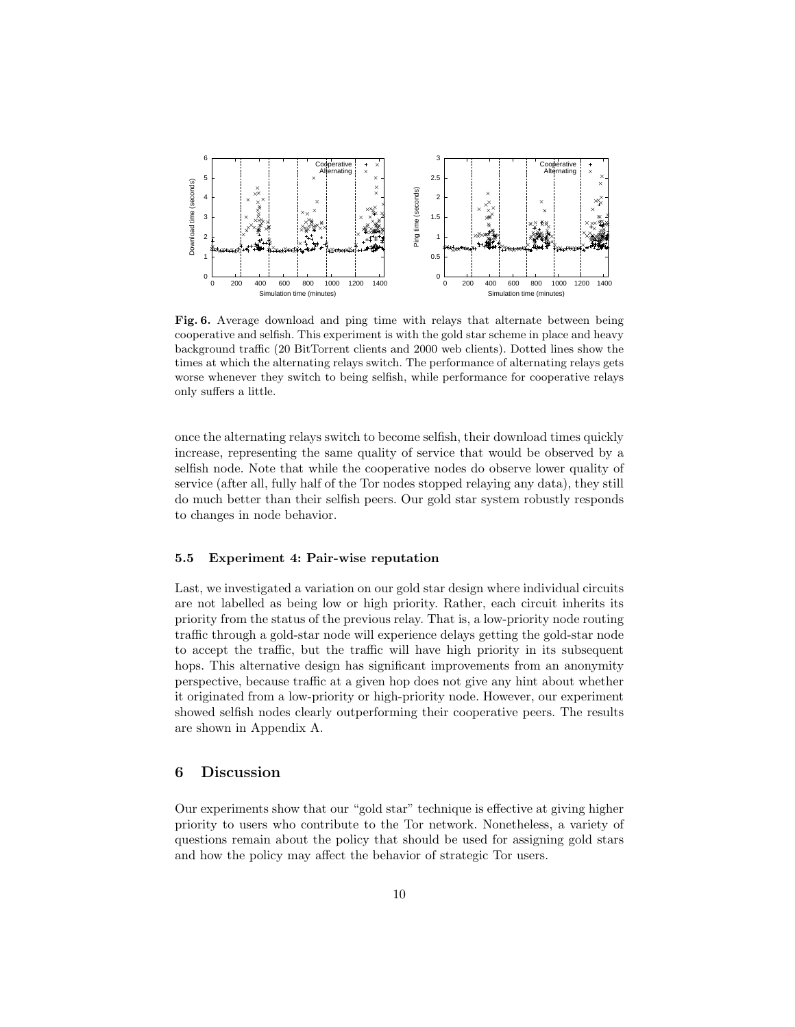

Fig. 6. Average download and ping time with relays that alternate between being cooperative and selfish. This experiment is with the gold star scheme in place and heavy background traffic (20 BitTorrent clients and 2000 web clients). Dotted lines show the times at which the alternating relays switch. The performance of alternating relays gets worse whenever they switch to being selfish, while performance for cooperative relays only suffers a little.

once the alternating relays switch to become selfish, their download times quickly increase, representing the same quality of service that would be observed by a selfish node. Note that while the cooperative nodes do observe lower quality of service (after all, fully half of the Tor nodes stopped relaying any data), they still do much better than their selfish peers. Our gold star system robustly responds to changes in node behavior.

#### 5.5 Experiment 4: Pair-wise reputation

Last, we investigated a variation on our gold star design where individual circuits are not labelled as being low or high priority. Rather, each circuit inherits its priority from the status of the previous relay. That is, a low-priority node routing traffic through a gold-star node will experience delays getting the gold-star node to accept the traffic, but the traffic will have high priority in its subsequent hops. This alternative design has significant improvements from an anonymity perspective, because traffic at a given hop does not give any hint about whether it originated from a low-priority or high-priority node. However, our experiment showed selfish nodes clearly outperforming their cooperative peers. The results are shown in Appendix A.

## 6 Discussion

Our experiments show that our "gold star" technique is effective at giving higher priority to users who contribute to the Tor network. Nonetheless, a variety of questions remain about the policy that should be used for assigning gold stars and how the policy may affect the behavior of strategic Tor users.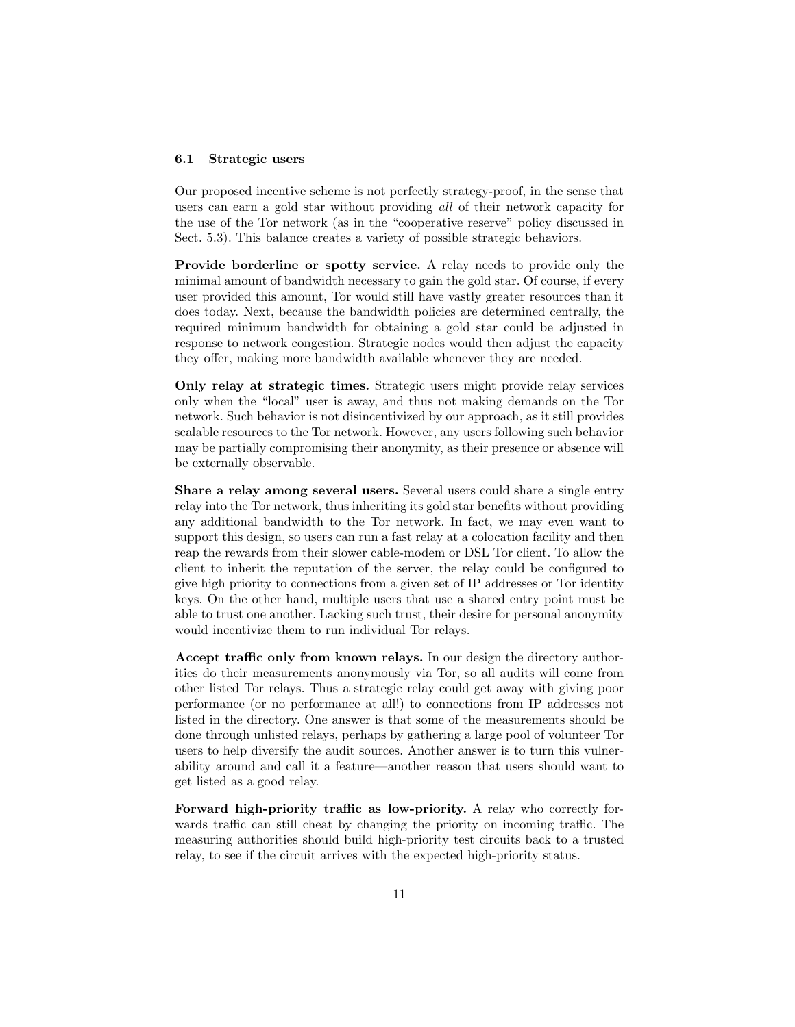#### 6.1 Strategic users

Our proposed incentive scheme is not perfectly strategy-proof, in the sense that users can earn a gold star without providing all of their network capacity for the use of the Tor network (as in the "cooperative reserve" policy discussed in Sect. 5.3). This balance creates a variety of possible strategic behaviors.

Provide borderline or spotty service. A relay needs to provide only the minimal amount of bandwidth necessary to gain the gold star. Of course, if every user provided this amount, Tor would still have vastly greater resources than it does today. Next, because the bandwidth policies are determined centrally, the required minimum bandwidth for obtaining a gold star could be adjusted in response to network congestion. Strategic nodes would then adjust the capacity they offer, making more bandwidth available whenever they are needed.

Only relay at strategic times. Strategic users might provide relay services only when the "local" user is away, and thus not making demands on the Tor network. Such behavior is not disincentivized by our approach, as it still provides scalable resources to the Tor network. However, any users following such behavior may be partially compromising their anonymity, as their presence or absence will be externally observable.

Share a relay among several users. Several users could share a single entry relay into the Tor network, thus inheriting its gold star benefits without providing any additional bandwidth to the Tor network. In fact, we may even want to support this design, so users can run a fast relay at a colocation facility and then reap the rewards from their slower cable-modem or DSL Tor client. To allow the client to inherit the reputation of the server, the relay could be configured to give high priority to connections from a given set of IP addresses or Tor identity keys. On the other hand, multiple users that use a shared entry point must be able to trust one another. Lacking such trust, their desire for personal anonymity would incentivize them to run individual Tor relays.

Accept traffic only from known relays. In our design the directory authorities do their measurements anonymously via Tor, so all audits will come from other listed Tor relays. Thus a strategic relay could get away with giving poor performance (or no performance at all!) to connections from IP addresses not listed in the directory. One answer is that some of the measurements should be done through unlisted relays, perhaps by gathering a large pool of volunteer Tor users to help diversify the audit sources. Another answer is to turn this vulnerability around and call it a feature—another reason that users should want to get listed as a good relay.

Forward high-priority traffic as low-priority. A relay who correctly forwards traffic can still cheat by changing the priority on incoming traffic. The measuring authorities should build high-priority test circuits back to a trusted relay, to see if the circuit arrives with the expected high-priority status.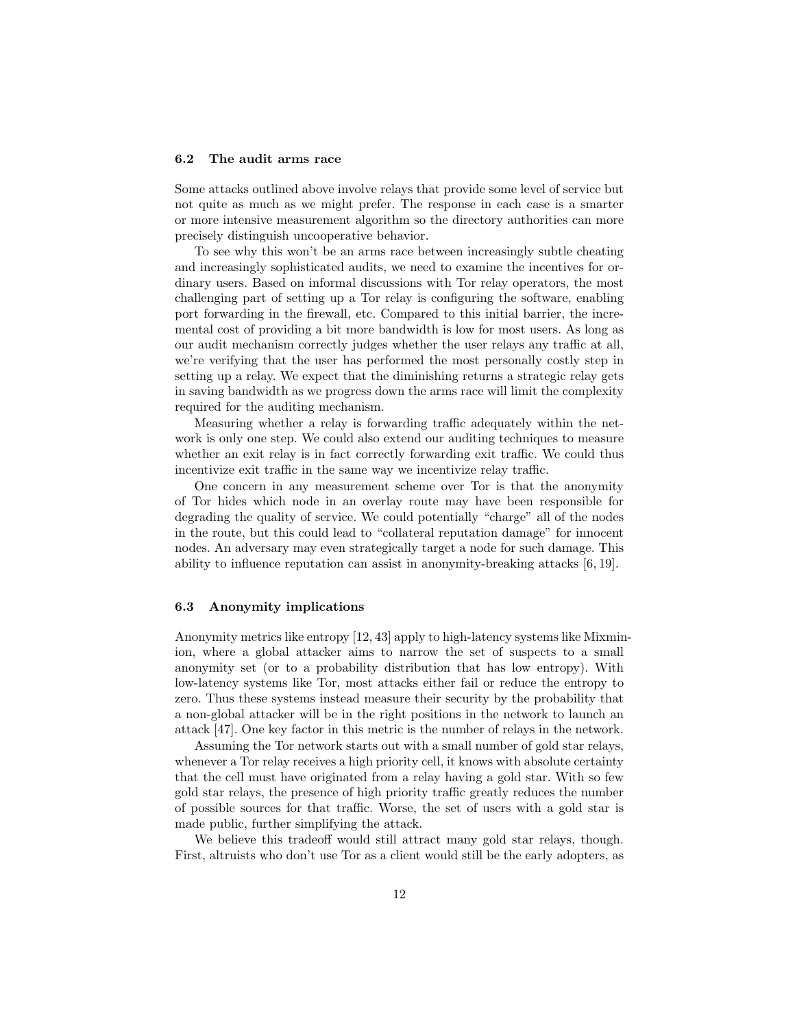#### 6.2 The audit arms race

Some attacks outlined above involve relays that provide some level of service but not quite as much as we might prefer. The response in each case is a smarter or more intensive measurement algorithm so the directory authorities can more precisely distinguish uncooperative behavior.

To see why this won't be an arms race between increasingly subtle cheating and increasingly sophisticated audits, we need to examine the incentives for ordinary users. Based on informal discussions with Tor relay operators, the most challenging part of setting up a Tor relay is configuring the software, enabling port forwarding in the firewall, etc. Compared to this initial barrier, the incremental cost of providing a bit more bandwidth is low for most users. As long as our audit mechanism correctly judges whether the user relays any traffic at all, we're verifying that the user has performed the most personally costly step in setting up a relay. We expect that the diminishing returns a strategic relay gets in saving bandwidth as we progress down the arms race will limit the complexity required for the auditing mechanism.

Measuring whether a relay is forwarding traffic adequately within the network is only one step. We could also extend our auditing techniques to measure whether an exit relay is in fact correctly forwarding exit traffic. We could thus incentivize exit traffic in the same way we incentivize relay traffic.

One concern in any measurement scheme over Tor is that the anonymity of Tor hides which node in an overlay route may have been responsible for degrading the quality of service. We could potentially "charge" all of the nodes in the route, but this could lead to "collateral reputation damage" for innocent nodes. An adversary may even strategically target a node for such damage. This ability to influence reputation can assist in anonymity-breaking attacks [6, 19].

### 6.3 Anonymity implications

Anonymity metrics like entropy [12, 43] apply to high-latency systems like Mixminion, where a global attacker aims to narrow the set of suspects to a small anonymity set (or to a probability distribution that has low entropy). With low-latency systems like Tor, most attacks either fail or reduce the entropy to zero. Thus these systems instead measure their security by the probability that a non-global attacker will be in the right positions in the network to launch an attack [47]. One key factor in this metric is the number of relays in the network.

Assuming the Tor network starts out with a small number of gold star relays, whenever a Tor relay receives a high priority cell, it knows with absolute certainty that the cell must have originated from a relay having a gold star. With so few gold star relays, the presence of high priority traffic greatly reduces the number of possible sources for that traffic. Worse, the set of users with a gold star is made public, further simplifying the attack.

We believe this tradeoff would still attract many gold star relays, though. First, altruists who don't use Tor as a client would still be the early adopters, as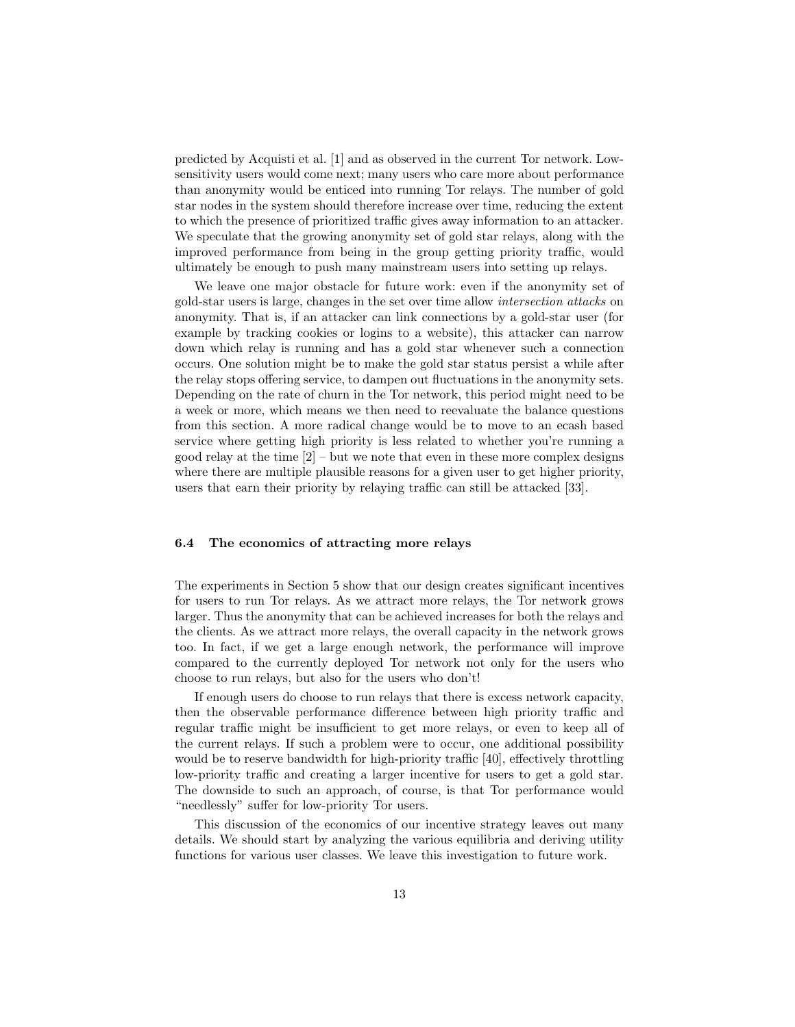predicted by Acquisti et al. [1] and as observed in the current Tor network. Lowsensitivity users would come next; many users who care more about performance than anonymity would be enticed into running Tor relays. The number of gold star nodes in the system should therefore increase over time, reducing the extent to which the presence of prioritized traffic gives away information to an attacker. We speculate that the growing anonymity set of gold star relays, along with the improved performance from being in the group getting priority traffic, would ultimately be enough to push many mainstream users into setting up relays.

We leave one major obstacle for future work: even if the anonymity set of gold-star users is large, changes in the set over time allow intersection attacks on anonymity. That is, if an attacker can link connections by a gold-star user (for example by tracking cookies or logins to a website), this attacker can narrow down which relay is running and has a gold star whenever such a connection occurs. One solution might be to make the gold star status persist a while after the relay stops offering service, to dampen out fluctuations in the anonymity sets. Depending on the rate of churn in the Tor network, this period might need to be a week or more, which means we then need to reevaluate the balance questions from this section. A more radical change would be to move to an ecash based service where getting high priority is less related to whether you're running a good relay at the time [2] – but we note that even in these more complex designs where there are multiple plausible reasons for a given user to get higher priority, users that earn their priority by relaying traffic can still be attacked [33].

#### 6.4 The economics of attracting more relays

The experiments in Section 5 show that our design creates significant incentives for users to run Tor relays. As we attract more relays, the Tor network grows larger. Thus the anonymity that can be achieved increases for both the relays and the clients. As we attract more relays, the overall capacity in the network grows too. In fact, if we get a large enough network, the performance will improve compared to the currently deployed Tor network not only for the users who choose to run relays, but also for the users who don't!

If enough users do choose to run relays that there is excess network capacity, then the observable performance difference between high priority traffic and regular traffic might be insufficient to get more relays, or even to keep all of the current relays. If such a problem were to occur, one additional possibility would be to reserve bandwidth for high-priority traffic [40], effectively throttling low-priority traffic and creating a larger incentive for users to get a gold star. The downside to such an approach, of course, is that Tor performance would "needlessly" suffer for low-priority Tor users.

This discussion of the economics of our incentive strategy leaves out many details. We should start by analyzing the various equilibria and deriving utility functions for various user classes. We leave this investigation to future work.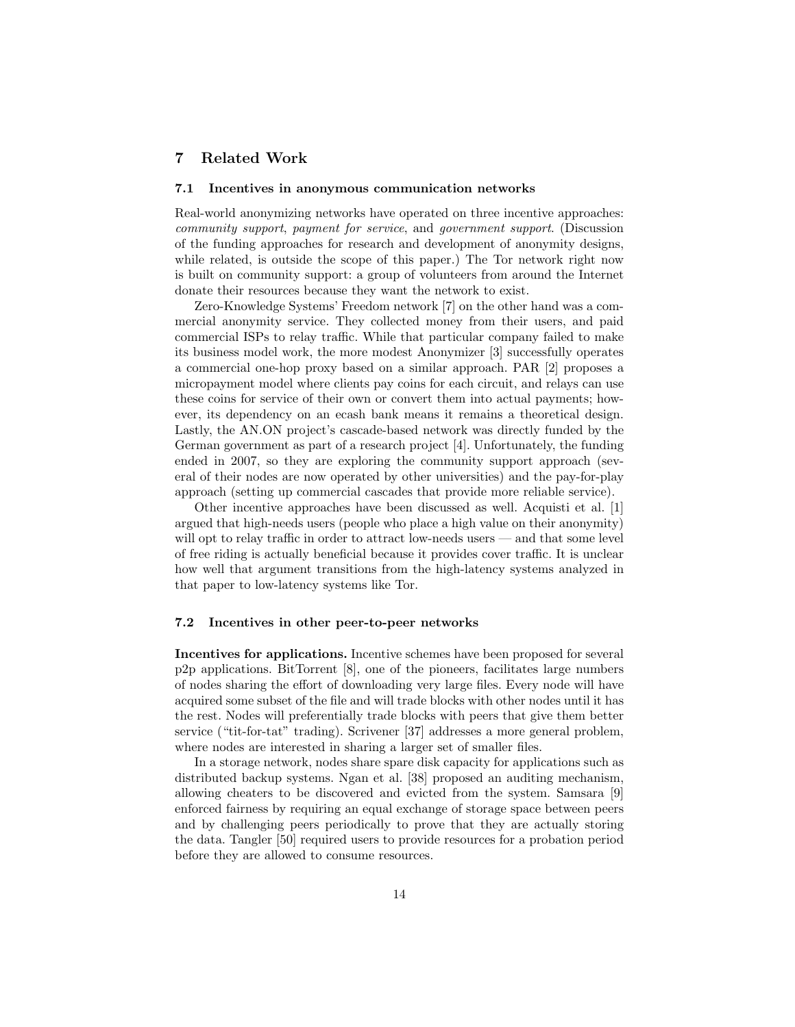# 7 Related Work

#### 7.1 Incentives in anonymous communication networks

Real-world anonymizing networks have operated on three incentive approaches: community support, payment for service, and government support. (Discussion of the funding approaches for research and development of anonymity designs, while related, is outside the scope of this paper.) The Tor network right now is built on community support: a group of volunteers from around the Internet donate their resources because they want the network to exist.

Zero-Knowledge Systems' Freedom network [7] on the other hand was a commercial anonymity service. They collected money from their users, and paid commercial ISPs to relay traffic. While that particular company failed to make its business model work, the more modest Anonymizer [3] successfully operates a commercial one-hop proxy based on a similar approach. PAR [2] proposes a micropayment model where clients pay coins for each circuit, and relays can use these coins for service of their own or convert them into actual payments; however, its dependency on an ecash bank means it remains a theoretical design. Lastly, the AN.ON project's cascade-based network was directly funded by the German government as part of a research project [4]. Unfortunately, the funding ended in 2007, so they are exploring the community support approach (several of their nodes are now operated by other universities) and the pay-for-play approach (setting up commercial cascades that provide more reliable service).

Other incentive approaches have been discussed as well. Acquisti et al. [1] argued that high-needs users (people who place a high value on their anonymity) will opt to relay traffic in order to attract low-needs users — and that some level of free riding is actually beneficial because it provides cover traffic. It is unclear how well that argument transitions from the high-latency systems analyzed in that paper to low-latency systems like Tor.

#### 7.2 Incentives in other peer-to-peer networks

Incentives for applications. Incentive schemes have been proposed for several p2p applications. BitTorrent [8], one of the pioneers, facilitates large numbers of nodes sharing the effort of downloading very large files. Every node will have acquired some subset of the file and will trade blocks with other nodes until it has the rest. Nodes will preferentially trade blocks with peers that give them better service ("tit-for-tat" trading). Scrivener [37] addresses a more general problem, where nodes are interested in sharing a larger set of smaller files.

In a storage network, nodes share spare disk capacity for applications such as distributed backup systems. Ngan et al. [38] proposed an auditing mechanism, allowing cheaters to be discovered and evicted from the system. Samsara [9] enforced fairness by requiring an equal exchange of storage space between peers and by challenging peers periodically to prove that they are actually storing the data. Tangler [50] required users to provide resources for a probation period before they are allowed to consume resources.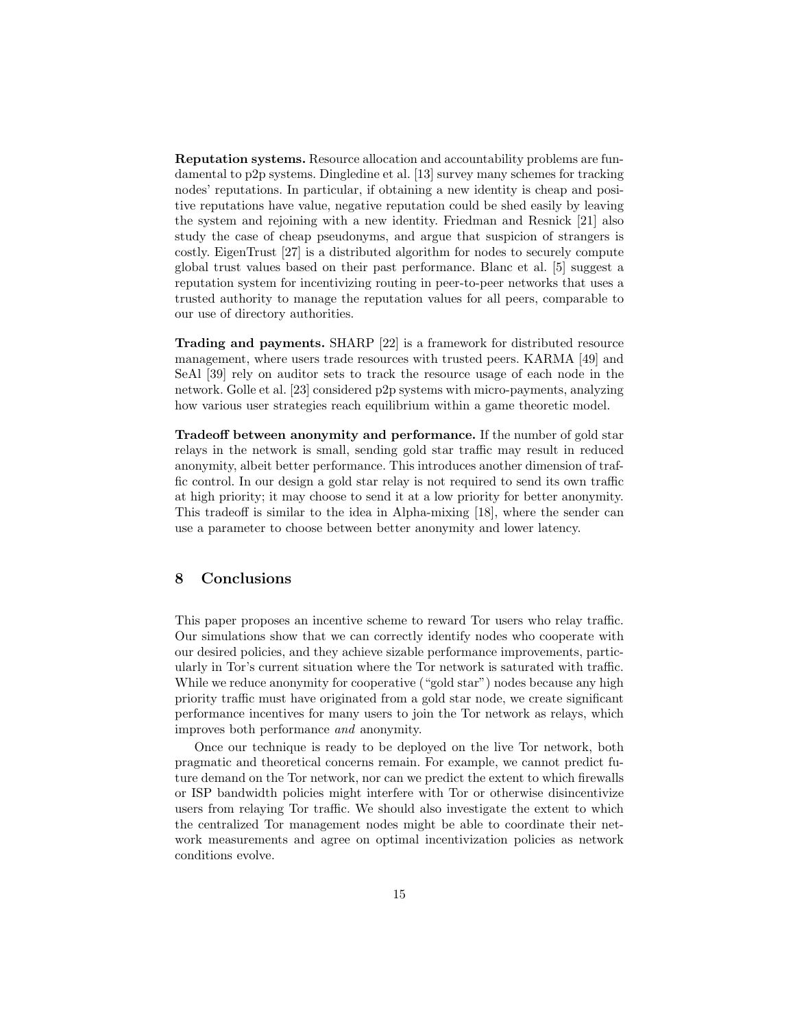Reputation systems. Resource allocation and accountability problems are fundamental to p2p systems. Dingledine et al. [13] survey many schemes for tracking nodes' reputations. In particular, if obtaining a new identity is cheap and positive reputations have value, negative reputation could be shed easily by leaving the system and rejoining with a new identity. Friedman and Resnick [21] also study the case of cheap pseudonyms, and argue that suspicion of strangers is costly. EigenTrust [27] is a distributed algorithm for nodes to securely compute global trust values based on their past performance. Blanc et al. [5] suggest a reputation system for incentivizing routing in peer-to-peer networks that uses a trusted authority to manage the reputation values for all peers, comparable to our use of directory authorities.

Trading and payments. SHARP [22] is a framework for distributed resource management, where users trade resources with trusted peers. KARMA [49] and SeAl [39] rely on auditor sets to track the resource usage of each node in the network. Golle et al. [23] considered p2p systems with micro-payments, analyzing how various user strategies reach equilibrium within a game theoretic model.

Tradeoff between anonymity and performance. If the number of gold star relays in the network is small, sending gold star traffic may result in reduced anonymity, albeit better performance. This introduces another dimension of traffic control. In our design a gold star relay is not required to send its own traffic at high priority; it may choose to send it at a low priority for better anonymity. This tradeoff is similar to the idea in Alpha-mixing [18], where the sender can use a parameter to choose between better anonymity and lower latency.

# 8 Conclusions

This paper proposes an incentive scheme to reward Tor users who relay traffic. Our simulations show that we can correctly identify nodes who cooperate with our desired policies, and they achieve sizable performance improvements, particularly in Tor's current situation where the Tor network is saturated with traffic. While we reduce anonymity for cooperative ("gold star") nodes because any high priority traffic must have originated from a gold star node, we create significant performance incentives for many users to join the Tor network as relays, which improves both performance and anonymity.

Once our technique is ready to be deployed on the live Tor network, both pragmatic and theoretical concerns remain. For example, we cannot predict future demand on the Tor network, nor can we predict the extent to which firewalls or ISP bandwidth policies might interfere with Tor or otherwise disincentivize users from relaying Tor traffic. We should also investigate the extent to which the centralized Tor management nodes might be able to coordinate their network measurements and agree on optimal incentivization policies as network conditions evolve.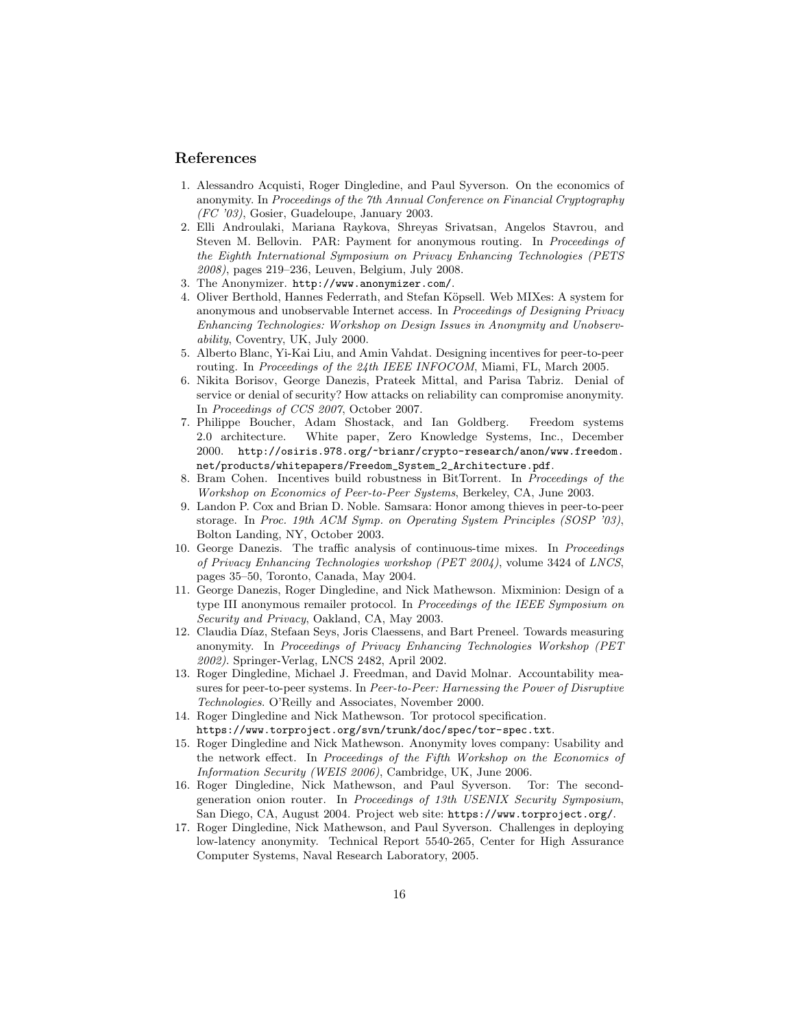### References

- 1. Alessandro Acquisti, Roger Dingledine, and Paul Syverson. On the economics of anonymity. In *Proceedings of the 7th Annual Conference on Financial Cryptography (FC '03)*, Gosier, Guadeloupe, January 2003.
- 2. Elli Androulaki, Mariana Raykova, Shreyas Srivatsan, Angelos Stavrou, and Steven M. Bellovin. PAR: Payment for anonymous routing. In *Proceedings of the Eighth International Symposium on Privacy Enhancing Technologies (PETS 2008)*, pages 219–236, Leuven, Belgium, July 2008.
- 3. The Anonymizer. http://www.anonymizer.com/.
- 4. Oliver Berthold, Hannes Federrath, and Stefan Köpsell. Web MIXes: A system for anonymous and unobservable Internet access. In *Proceedings of Designing Privacy Enhancing Technologies: Workshop on Design Issues in Anonymity and Unobservability*, Coventry, UK, July 2000.
- 5. Alberto Blanc, Yi-Kai Liu, and Amin Vahdat. Designing incentives for peer-to-peer routing. In *Proceedings of the 24th IEEE INFOCOM*, Miami, FL, March 2005.
- 6. Nikita Borisov, George Danezis, Prateek Mittal, and Parisa Tabriz. Denial of service or denial of security? How attacks on reliability can compromise anonymity. In *Proceedings of CCS 2007*, October 2007.
- 7. Philippe Boucher, Adam Shostack, and Ian Goldberg. Freedom systems 2.0 architecture. White paper, Zero Knowledge Systems, Inc., December 2000. http://osiris.978.org/~brianr/crypto-research/anon/www.freedom. net/products/whitepapers/Freedom\_System\_2\_Architecture.pdf.
- 8. Bram Cohen. Incentives build robustness in BitTorrent. In *Proceedings of the Workshop on Economics of Peer-to-Peer Systems*, Berkeley, CA, June 2003.
- 9. Landon P. Cox and Brian D. Noble. Samsara: Honor among thieves in peer-to-peer storage. In *Proc. 19th ACM Symp. on Operating System Principles (SOSP '03)*, Bolton Landing, NY, October 2003.
- 10. George Danezis. The traffic analysis of continuous-time mixes. In *Proceedings of Privacy Enhancing Technologies workshop (PET 2004)*, volume 3424 of *LNCS*, pages 35–50, Toronto, Canada, May 2004.
- 11. George Danezis, Roger Dingledine, and Nick Mathewson. Mixminion: Design of a type III anonymous remailer protocol. In *Proceedings of the IEEE Symposium on Security and Privacy*, Oakland, CA, May 2003.
- 12. Claudia Díaz, Stefaan Seys, Joris Claessens, and Bart Preneel. Towards measuring anonymity. In *Proceedings of Privacy Enhancing Technologies Workshop (PET 2002)*. Springer-Verlag, LNCS 2482, April 2002.
- 13. Roger Dingledine, Michael J. Freedman, and David Molnar. Accountability measures for peer-to-peer systems. In *Peer-to-Peer: Harnessing the Power of Disruptive Technologies*. O'Reilly and Associates, November 2000.
- 14. Roger Dingledine and Nick Mathewson. Tor protocol specification. https://www.torproject.org/svn/trunk/doc/spec/tor-spec.txt.
- 15. Roger Dingledine and Nick Mathewson. Anonymity loves company: Usability and the network effect. In *Proceedings of the Fifth Workshop on the Economics of Information Security (WEIS 2006)*, Cambridge, UK, June 2006.
- 16. Roger Dingledine, Nick Mathewson, and Paul Syverson. Tor: The secondgeneration onion router. In *Proceedings of 13th USENIX Security Symposium*, San Diego, CA, August 2004. Project web site: https://www.torproject.org/.
- 17. Roger Dingledine, Nick Mathewson, and Paul Syverson. Challenges in deploying low-latency anonymity. Technical Report 5540-265, Center for High Assurance Computer Systems, Naval Research Laboratory, 2005.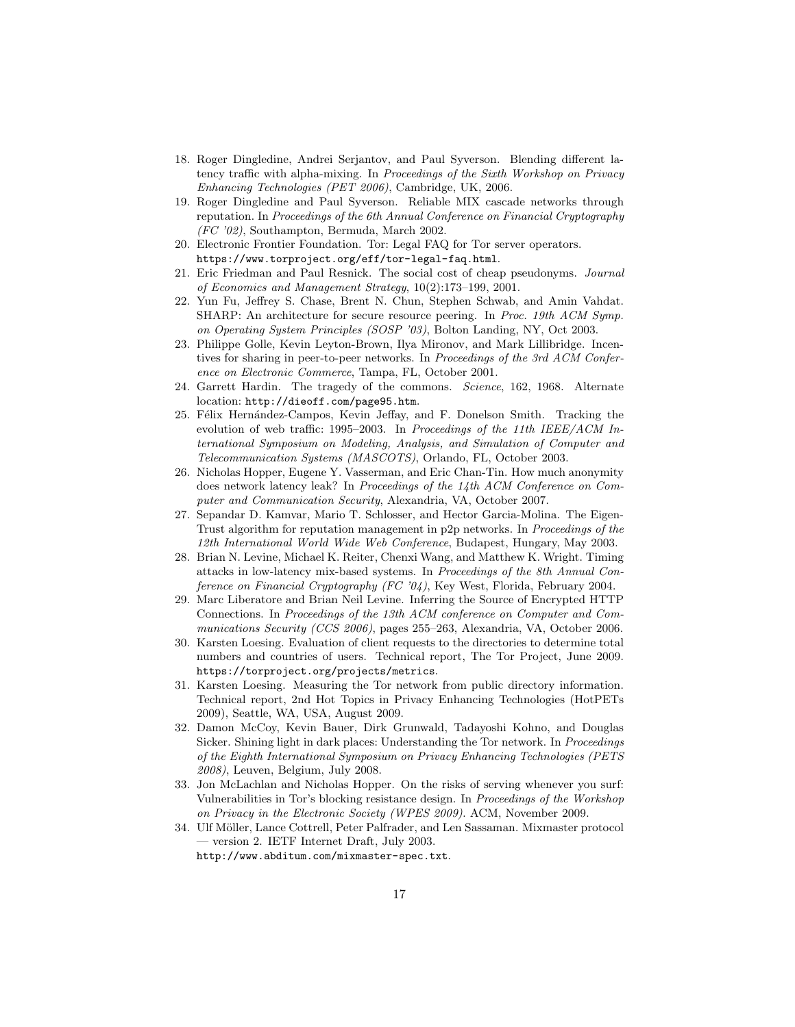- 18. Roger Dingledine, Andrei Serjantov, and Paul Syverson. Blending different latency traffic with alpha-mixing. In *Proceedings of the Sixth Workshop on Privacy Enhancing Technologies (PET 2006)*, Cambridge, UK, 2006.
- 19. Roger Dingledine and Paul Syverson. Reliable MIX cascade networks through reputation. In *Proceedings of the 6th Annual Conference on Financial Cryptography (FC '02)*, Southampton, Bermuda, March 2002.
- 20. Electronic Frontier Foundation. Tor: Legal FAQ for Tor server operators. https://www.torproject.org/eff/tor-legal-faq.html.
- 21. Eric Friedman and Paul Resnick. The social cost of cheap pseudonyms. *Journal of Economics and Management Strategy*, 10(2):173–199, 2001.
- 22. Yun Fu, Jeffrey S. Chase, Brent N. Chun, Stephen Schwab, and Amin Vahdat. SHARP: An architecture for secure resource peering. In *Proc. 19th ACM Symp. on Operating System Principles (SOSP '03)*, Bolton Landing, NY, Oct 2003.
- 23. Philippe Golle, Kevin Leyton-Brown, Ilya Mironov, and Mark Lillibridge. Incentives for sharing in peer-to-peer networks. In *Proceedings of the 3rd ACM Conference on Electronic Commerce*, Tampa, FL, October 2001.
- 24. Garrett Hardin. The tragedy of the commons. *Science*, 162, 1968. Alternate location: http://dieoff.com/page95.htm.
- 25. Félix Hernández-Campos, Kevin Jeffay, and F. Donelson Smith. Tracking the evolution of web traffic: 1995–2003. In *Proceedings of the 11th IEEE/ACM International Symposium on Modeling, Analysis, and Simulation of Computer and Telecommunication Systems (MASCOTS)*, Orlando, FL, October 2003.
- 26. Nicholas Hopper, Eugene Y. Vasserman, and Eric Chan-Tin. How much anonymity does network latency leak? In *Proceedings of the 14th ACM Conference on Computer and Communication Security*, Alexandria, VA, October 2007.
- 27. Sepandar D. Kamvar, Mario T. Schlosser, and Hector Garcia-Molina. The Eigen-Trust algorithm for reputation management in p2p networks. In *Proceedings of the 12th International World Wide Web Conference*, Budapest, Hungary, May 2003.
- 28. Brian N. Levine, Michael K. Reiter, Chenxi Wang, and Matthew K. Wright. Timing attacks in low-latency mix-based systems. In *Proceedings of the 8th Annual Conference on Financial Cryptography (FC '04)*, Key West, Florida, February 2004.
- 29. Marc Liberatore and Brian Neil Levine. Inferring the Source of Encrypted HTTP Connections. In *Proceedings of the 13th ACM conference on Computer and Communications Security (CCS 2006)*, pages 255–263, Alexandria, VA, October 2006.
- 30. Karsten Loesing. Evaluation of client requests to the directories to determine total numbers and countries of users. Technical report, The Tor Project, June 2009. https://torproject.org/projects/metrics.
- 31. Karsten Loesing. Measuring the Tor network from public directory information. Technical report, 2nd Hot Topics in Privacy Enhancing Technologies (HotPETs 2009), Seattle, WA, USA, August 2009.
- 32. Damon McCoy, Kevin Bauer, Dirk Grunwald, Tadayoshi Kohno, and Douglas Sicker. Shining light in dark places: Understanding the Tor network. In *Proceedings of the Eighth International Symposium on Privacy Enhancing Technologies (PETS 2008)*, Leuven, Belgium, July 2008.
- 33. Jon McLachlan and Nicholas Hopper. On the risks of serving whenever you surf: Vulnerabilities in Tor's blocking resistance design. In *Proceedings of the Workshop on Privacy in the Electronic Society (WPES 2009)*. ACM, November 2009.
- 34. Ulf Möller, Lance Cottrell, Peter Palfrader, and Len Sassaman. Mixmaster protocol — version 2. IETF Internet Draft, July 2003. http://www.abditum.com/mixmaster-spec.txt.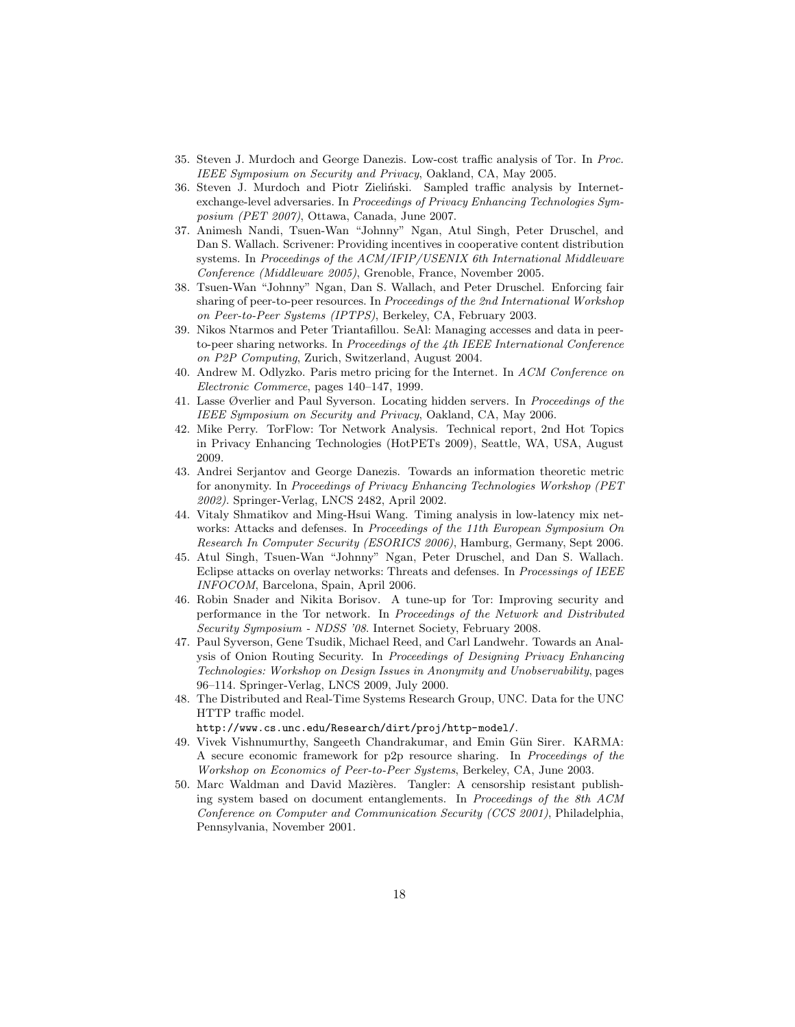- 35. Steven J. Murdoch and George Danezis. Low-cost traffic analysis of Tor. In *Proc. IEEE Symposium on Security and Privacy*, Oakland, CA, May 2005.
- 36. Steven J. Murdoch and Piotr Zieliński. Sampled traffic analysis by Internetexchange-level adversaries. In *Proceedings of Privacy Enhancing Technologies Symposium (PET 2007)*, Ottawa, Canada, June 2007.
- 37. Animesh Nandi, Tsuen-Wan "Johnny" Ngan, Atul Singh, Peter Druschel, and Dan S. Wallach. Scrivener: Providing incentives in cooperative content distribution systems. In *Proceedings of the ACM/IFIP/USENIX 6th International Middleware Conference (Middleware 2005)*, Grenoble, France, November 2005.
- 38. Tsuen-Wan "Johnny" Ngan, Dan S. Wallach, and Peter Druschel. Enforcing fair sharing of peer-to-peer resources. In *Proceedings of the 2nd International Workshop on Peer-to-Peer Systems (IPTPS)*, Berkeley, CA, February 2003.
- 39. Nikos Ntarmos and Peter Triantafillou. SeAl: Managing accesses and data in peerto-peer sharing networks. In *Proceedings of the 4th IEEE International Conference on P2P Computing*, Zurich, Switzerland, August 2004.
- 40. Andrew M. Odlyzko. Paris metro pricing for the Internet. In *ACM Conference on Electronic Commerce*, pages 140–147, 1999.
- 41. Lasse Øverlier and Paul Syverson. Locating hidden servers. In *Proceedings of the IEEE Symposium on Security and Privacy*, Oakland, CA, May 2006.
- 42. Mike Perry. TorFlow: Tor Network Analysis. Technical report, 2nd Hot Topics in Privacy Enhancing Technologies (HotPETs 2009), Seattle, WA, USA, August 2009.
- 43. Andrei Serjantov and George Danezis. Towards an information theoretic metric for anonymity. In *Proceedings of Privacy Enhancing Technologies Workshop (PET 2002)*. Springer-Verlag, LNCS 2482, April 2002.
- 44. Vitaly Shmatikov and Ming-Hsui Wang. Timing analysis in low-latency mix networks: Attacks and defenses. In *Proceedings of the 11th European Symposium On Research In Computer Security (ESORICS 2006)*, Hamburg, Germany, Sept 2006.
- 45. Atul Singh, Tsuen-Wan "Johnny" Ngan, Peter Druschel, and Dan S. Wallach. Eclipse attacks on overlay networks: Threats and defenses. In *Processings of IEEE INFOCOM*, Barcelona, Spain, April 2006.
- 46. Robin Snader and Nikita Borisov. A tune-up for Tor: Improving security and performance in the Tor network. In *Proceedings of the Network and Distributed Security Symposium - NDSS '08*. Internet Society, February 2008.
- 47. Paul Syverson, Gene Tsudik, Michael Reed, and Carl Landwehr. Towards an Analysis of Onion Routing Security. In *Proceedings of Designing Privacy Enhancing Technologies: Workshop on Design Issues in Anonymity and Unobservability*, pages 96–114. Springer-Verlag, LNCS 2009, July 2000.
- 48. The Distributed and Real-Time Systems Research Group, UNC. Data for the UNC HTTP traffic model.
	- http://www.cs.unc.edu/Research/dirt/proj/http-model/.
- 49. Vivek Vishnumurthy, Sangeeth Chandrakumar, and Emin Gün Sirer. KARMA: A secure economic framework for p2p resource sharing. In *Proceedings of the Workshop on Economics of Peer-to-Peer Systems*, Berkeley, CA, June 2003.
- 50. Marc Waldman and David Mazières. Tangler: A censorship resistant publishing system based on document entanglements. In *Proceedings of the 8th ACM Conference on Computer and Communication Security (CCS 2001)*, Philadelphia, Pennsylvania, November 2001.